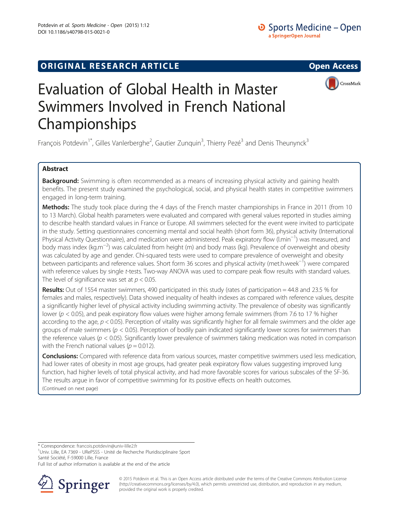## **ORIGINAL RESEARCH ARTICLE CONSUMING ACCESS**





# Evaluation of Global Health in Master Swimmers Involved in French National Championships

François Potdevin<sup>1\*</sup>, Gilles Vanlerberghe<sup>2</sup>, Gautier Zunquin<sup>3</sup>, Thierry Pezé<sup>3</sup> and Denis Theunynck<sup>3</sup>

### Abstract

**Background:** Swimming is often recommended as a means of increasing physical activity and gaining health benefits. The present study examined the psychological, social, and physical health states in competitive swimmers engaged in long-term training.

Methods: The study took place during the 4 days of the French master championships in France in 2011 (from 10 to 13 March). Global health parameters were evaluated and compared with general values reported in studies aiming to describe health standard values in France or Europe. All swimmers selected for the event were invited to participate in the study. Setting questionnaires concerning mental and social health (short form 36), physical activity (International Physical Activity Questionnaire), and medication were administered. Peak expiratory flow (l.min−<sup>1</sup> ) was measured, and body mass index (kg.m−<sup>2</sup> ) was calculated from height (m) and body mass (kg). Prevalence of overweight and obesity was calculated by age and gender. Chi-squared tests were used to compare prevalence of overweight and obesity between participants and reference values. Short form 36 scores and physical activity (met.h.week−<sup>1</sup> ) were compared with reference values by single t-tests. Two-way ANOVA was used to compare peak flow results with standard values. The level of significance was set at  $p < 0.05$ .

Results: Out of 1554 master swimmers, 490 participated in this study (rates of participation = 44.8 and 23.5 % for females and males, respectively). Data showed inequality of health indexes as compared with reference values, despite a significantly higher level of physical activity including swimming activity. The prevalence of obesity was significantly lower ( $p < 0.05$ ), and peak expiratory flow values were higher among female swimmers (from 7.6 to 17 % higher according to the age,  $p < 0.05$ ). Perception of vitality was significantly higher for all female swimmers and the older age groups of male swimmers ( $p < 0.05$ ). Perception of bodily pain indicated significantly lower scores for swimmers than the reference values ( $p < 0.05$ ). Significantly lower prevalence of swimmers taking medication was noted in comparison with the French national values ( $p = 0.012$ ).

Conclusions: Compared with reference data from various sources, master competitive swimmers used less medication, had lower rates of obesity in most age groups, had greater peak expiratory flow values suggesting improved lung function, had higher levels of total physical activity, and had more favorable scores for various subscales of the SF-36. The results argue in favor of competitive swimming for its positive effects on health outcomes. (Continued on next page)

\* Correspondence: [francois.potdevin@univ-lille2.fr](mailto:francois.potdevin@univ-lille2.fr) <sup>1</sup>

Full list of author information is available at the end of the article



© 2015 Potdevin et al. This is an Open Access article distributed under the terms of the Creative Commons Attribution License (<http://creativecommons.org/licenses/by/4.0>), which permits unrestricted use, distribution, and reproduction in any medium, provided the original work is properly credited.

<sup>&</sup>lt;sup>1</sup>Univ. Lille, EA 7369 - URePSSS - Unité de Recherche Pluridisciplinaire Sport Santé Société, F-59000 Lille, France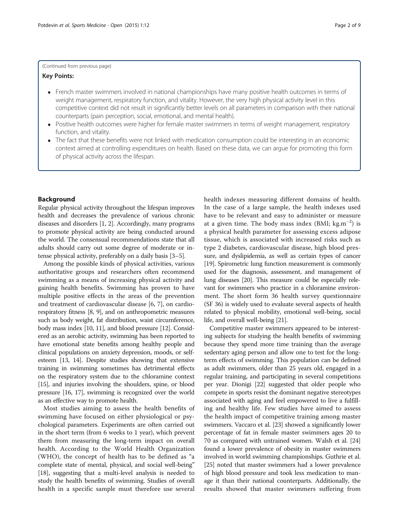#### (Continued from previous page)

#### Key Points:

- French master swimmers involved in national championships have many positive health outcomes in terms of weight management, respiratory function, and vitality. However, the very high physical activity level in this competitive context did not result in significantly better levels on all parameters in comparison with their national counterparts (pain perception, social, emotional, and mental health).
- Positive health outcomes were higher for female master swimmers in terms of weight management, respiratory function, and vitality.
- The fact that these benefits were not linked with medication consumption could be interesting in an economic context aimed at controlling expenditures on health. Based on these data, we can argue for promoting this form of physical activity across the lifespan.

#### Background

Regular physical activity throughout the lifespan improves health and decreases the prevalence of various chronic diseases and disorders [[1](#page-7-0), [2](#page-7-0)]. Accordingly, many programs to promote physical activity are being conducted around the world. The consensual recommendations state that all adults should carry out some degree of moderate or intense physical activity, preferably on a daily basis [\[3](#page-7-0)–[5](#page-7-0)].

Among the possible kinds of physical activities, various authoritative groups and researchers often recommend swimming as a means of increasing physical activity and gaining health benefits. Swimming has proven to have multiple positive effects in the areas of the prevention and treatment of cardiovascular disease [[6, 7\]](#page-8-0), on cardiorespiratory fitness [[8, 9\]](#page-8-0), and on anthropometric measures such as body weight, fat distribution, waist circumference, body mass index [[10](#page-8-0), [11\]](#page-8-0), and blood pressure [[12](#page-8-0)]. Considered as an aerobic activity, swimming has been reported to have emotional state benefits among healthy people and clinical populations on anxiety depression, moods, or selfesteem [\[13, 14](#page-8-0)]. Despite studies showing that extensive training in swimming sometimes has detrimental effects on the respiratory system due to the chloramine context [[15](#page-8-0)], and injuries involving the shoulders, spine, or blood pressure [\[16](#page-8-0), [17](#page-8-0)], swimming is recognized over the world as an effective way to promote health.

Most studies aiming to assess the health benefits of swimming have focused on either physiological or psychological parameters. Experiments are often carried out in the short term (from 6 weeks to 1 year), which prevent them from measuring the long-term impact on overall health. According to the World Health Organization (WHO), the concept of health has to be defined as "a complete state of mental, physical, and social well-being" [[18](#page-8-0)], suggesting that a multi-level analysis is needed to study the health benefits of swimming. Studies of overall health in a specific sample must therefore use several

health indexes measuring different domains of health. In the case of a large sample, the health indexes used have to be relevant and easy to administer or measure at a given time. The body mass index (BMI;  $\text{kg.m}^{-2}$ ) is a physical health parameter for assessing excess adipose tissue, which is associated with increased risks such as type 2 diabetes, cardiovascular disease, high blood pressure, and dyslipidemia, as well as certain types of cancer [[19](#page-8-0)]. Spirometric lung function measurement is commonly used for the diagnosis, assessment, and management of lung diseases [\[20](#page-8-0)]. This measure could be especially relevant for swimmers who practice in a chloramine environment. The short form 36 health survey questionnaire (SF 36) is widely used to evaluate several aspects of health related to physical mobility, emotional well-being, social life, and overall well-being [\[21\]](#page-8-0).

Competitive master swimmers appeared to be interesting subjects for studying the health benefits of swimming because they spend more time training than the average sedentary aging person and allow one to test for the longterm effects of swimming. This population can be defined as adult swimmers, older than 25 years old, engaged in a regular training, and participating in several competitions per year. Dionigi [\[22\]](#page-8-0) suggested that older people who compete in sports resist the dominant negative stereotypes associated with aging and feel empowered to live a fulfilling and healthy life. Few studies have aimed to assess the health impact of competitive training among master swimmers. Vaccaro et al. [\[23\]](#page-8-0) showed a significantly lower percentage of fat in female master swimmers ages 20 to 70 as compared with untrained women. Walsh et al. [[24](#page-8-0)] found a lower prevalence of obesity in master swimmers involved in world swimming championships. Guthrie et al. [[25](#page-8-0)] noted that master swimmers had a lower prevalence of high blood pressure and took less medication to manage it than their national counterparts. Additionally, the results showed that master swimmers suffering from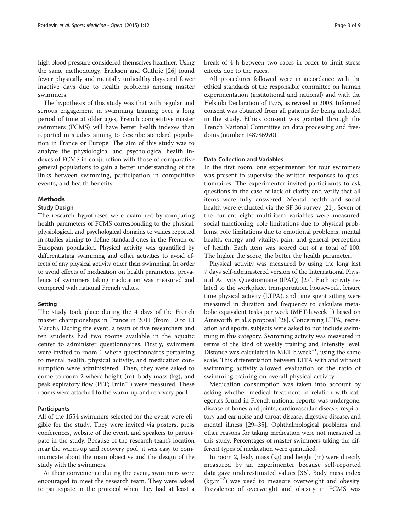high blood pressure considered themselves healthier. Using the same methodology, Erickson and Guthrie [[26\]](#page-8-0) found fewer physically and mentally unhealthy days and fewer inactive days due to health problems among master swimmers.

The hypothesis of this study was that with regular and serious engagement in swimming training over a long period of time at older ages, French competitive master swimmers (FCMS) will have better health indexes than reported in studies aiming to describe standard population in France or Europe. The aim of this study was to analyze the physiological and psychological health indexes of FCMS in conjunction with those of comparative general populations to gain a better understanding of the links between swimming, participation in competitive events, and health benefits.

#### Methods

#### Study Design

The research hypotheses were examined by comparing health parameters of FCMS corresponding to the physical, physiological, and psychological domains to values reported in studies aiming to define standard ones in the French or European population. Physical activity was quantified by differentiating swimming and other activities to avoid effects of any physical activity other than swimming. In order to avoid effects of medication on health parameters, prevalence of swimmers taking medication was measured and compared with national French values.

#### Setting

The study took place during the 4 days of the French master championships in France in 2011 (from 10 to 13 March). During the event, a team of five researchers and ten students had two rooms available in the aquatic center to administer questionnaires. Firstly, swimmers were invited to room 1 where questionnaires pertaining to mental health, physical activity, and medication consumption were administered. Then, they were asked to come to room 2 where height (m), body mass (kg), and peak expiratory flow (PEF; l.min<sup>-1</sup>) were measured. These rooms were attached to the warm-up and recovery pool.

#### Participants

All of the 1554 swimmers selected for the event were eligible for the study. They were invited via posters, press conferences, website of the event, and speakers to participate in the study. Because of the research team's location near the warm-up and recovery pool, it was easy to communicate about the main objective and the design of the study with the swimmers.

At their convenience during the event, swimmers were encouraged to meet the research team. They were asked to participate in the protocol when they had at least a break of 4 h between two races in order to limit stress effects due to the races.

All procedures followed were in accordance with the ethical standards of the responsible committee on human experimentation (institutional and national) and with the Helsinki Declaration of 1975, as revised in 2008. Informed consent was obtained from all patients for being included in the study. Ethics consent was granted through the French National Committee on data processing and freedoms (number 1487869v0).

#### Data Collection and Variables

In the first room, one experimenter for four swimmers was present to supervise the written responses to questionnaires. The experimenter invited participants to ask questions in the case of lack of clarity and verify that all items were fully answered. Mental health and social health were evaluated via the SF 36 survey [[21](#page-8-0)]. Seven of the current eight multi-item variables were measured: social functioning, role limitations due to physical problems, role limitations due to emotional problems, mental health, energy and vitality, pain, and general perception of health. Each item was scored out of a total of 100. The higher the score, the better the health parameter.

Physical activity was measured by using the long last 7 days self-administered version of the International Physical Activity Questionnaire (IPAQ) [\[27\]](#page-8-0). Each activity related to the workplace, transportation, housework, leisure time physical activity (LTPA), and time spent sitting were measured in duration and frequency to calculate metabolic equivalent tasks per week (MET-h.week−<sup>1</sup> ) based on Ainsworth et al.'s proposal [\[28\]](#page-8-0). Concerning LTPA, recreation and sports, subjects were asked to not include swimming in this category. Swimming activity was measured in terms of the kind of weekly training and intensity level. Distance was calculated in MET-h.week−<sup>1</sup> , using the same scale. This differentiation between LTPA with and without swimming activity allowed evaluation of the ratio of swimming training on overall physical activity.

Medication consumption was taken into account by asking whether medical treatment in relation with categories found in French national reports was undergone: disease of bones and joints, cardiovascular disease, respiratory and ear noise and throat disease, digestive disease, and mental illness [\[29](#page-8-0)–[35\]](#page-8-0). Ophthalmological problems and other reasons for taking medication were not measured in this study. Percentages of master swimmers taking the different types of medication were quantified.

In room 2, body mass (kg) and height (m) were directly measured by an experimenter because self-reported data gave underestimated values [[36](#page-8-0)]. Body mass index (kg.m−<sup>2</sup> ) was used to measure overweight and obesity. Prevalence of overweight and obesity in FCMS was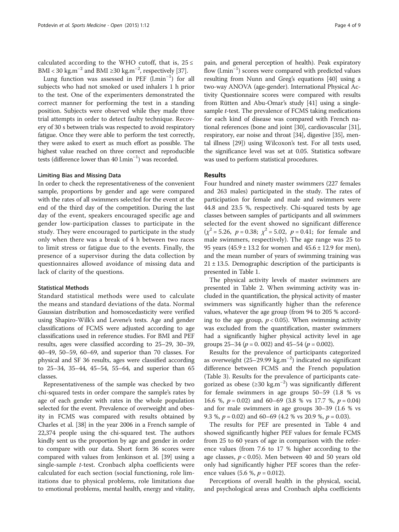calculated according to the WHO cutoff, that is,  $25 \le$ BMI < 30 kg.m<sup>-2</sup> and BMI ≥30 kg.m<sup>-2</sup>, respectively [[37\]](#page-8-0).

Lung function was assessed in PEF (l.min−<sup>1</sup> ) for all subjects who had not smoked or used inhalers 1 h prior to the test. One of the experimenters demonstrated the correct manner for performing the test in a standing position. Subjects were observed while they made three trial attempts in order to detect faulty technique. Recovery of 30 s between trials was respected to avoid respiratory fatigue. Once they were able to perform the test correctly, they were asked to exert as much effort as possible. The highest value reached on three correct and reproducible tests (difference lower than 40 l.min<sup>-1</sup>) was recorded.

#### Limiting Bias and Missing Data

In order to check the representativeness of the convenient sample, proportions by gender and age were compared with the rates of all swimmers selected for the event at the end of the third day of the competition. During the last day of the event, speakers encouraged specific age and gender low-participation classes to participate in the study. They were encouraged to participate in the study only when there was a break of 4 h between two races to limit stress or fatigue due to the events. Finally, the presence of a supervisor during the data collection by questionnaires allowed avoidance of missing data and lack of clarity of the questions.

#### Statistical Methods

Standard statistical methods were used to calculate the means and standard deviations of the data. Normal Gaussian distribution and homoscedasticity were verified using Shapiro-Wilk's and Levene's tests. Age and gender classifications of FCMS were adjusted according to age classifications used in reference studies. For BMI and PEF results, ages were classified according to 25–29, 30–39, 40–49, 50–59, 60–69, and superior than 70 classes. For physical and SF 36 results, ages were classified according to 25–34, 35–44, 45–54, 55–64, and superior than 65 classes.

Representativeness of the sample was checked by two chi-squared tests in order compare the sample's rates by age of each gender with rates in the whole population selected for the event. Prevalence of overweight and obesity in FCMS was compared with results obtained by Charles et al. [\[38\]](#page-8-0) in the year 2006 in a French sample of 22,374 people using the chi-squared test. The authors kindly sent us the proportion by age and gender in order to compare with our data. Short form 36 scores were compared with values from Jenkinson et al. [\[39\]](#page-8-0) using a single-sample t-test. Cronbach alpha coefficients were calculated for each section (social functioning, role limitations due to physical problems, role limitations due to emotional problems, mental health, energy and vitality,

pain, and general perception of health). Peak expiratory flow (l.min−<sup>1</sup> ) scores were compared with predicted values resulting from Nunn and Greg's equations [\[40\]](#page-8-0) using a two-way ANOVA (age-gender). International Physical Activity Questionnaire scores were compared with results from Rütten and Abu-Omar's study [\[41\]](#page-8-0) using a singlesample t-test. The prevalence of FCMS taking medications for each kind of disease was compared with French national references (bone and joint [\[30](#page-8-0)], cardiovascular [[31](#page-8-0)], respiratory, ear noise and throat [[34](#page-8-0)], digestive [\[35\]](#page-8-0), mental illness [\[29](#page-8-0)]) using Wilcoxon's test. For all tests used, the significance level was set at 0.05. Statistica software was used to perform statistical procedures.

#### Results

Four hundred and ninety master swimmers (227 females and 263 males) participated in the study. The rates of participation for female and male and swimmers were 44.8 and 23.5 %, respectively. Chi-squared tests by age classes between samples of participants and all swimmers selected for the event showed no significant difference  $(\chi^2 = 5.26, p = 0.38; \chi^2 = 5.02, p = 0.41;$  for female and male swimmers, respectively). The age range was 25 to 95 years  $(45.9 \pm 13.2)$  for women and  $45.6 \pm 12.9$  for men), and the mean number of years of swimming training was  $21 \pm 13.5$ . Demographic description of the participants is presented in Table [1.](#page-4-0)

The physical activity levels of master swimmers are presented in Table [2](#page-4-0). When swimming activity was included in the quantification, the physical activity of master swimmers was significantly higher than the reference values, whatever the age group (from 94 to 205 % according to the age group,  $p < 0.05$ ). When swimming activity was excluded from the quantification, master swimmers had a significantly higher physical activity level in age groups  $25-34$  ( $p = 0.002$ ) and  $45-54$  ( $p = 0.002$ ).

Results for the prevalence of participants categorized as overweight (25–29.99 kg.m−<sup>2</sup> ) indicated no significant difference between FCMS and the French population (Table [3](#page-5-0)). Results for the prevalence of participants categorized as obese (≥30 kg.m−<sup>2</sup> ) was significantly different for female swimmers in age groups 50–59 (1.8 % vs 16.6 %,  $p = 0.02$ ) and 60–69 (3.8 % vs 17.7 %,  $p = 0.04$ ) and for male swimmers in age groups 30–39 (1.6 % vs 9.3 %,  $p = 0.02$ ) and 60–69 (4.2 % vs 20.9 %,  $p = 0.03$ ).

The results for PEF are presented in Table [4](#page-5-0) and showed significantly higher PEF values for female FCMS from 25 to 60 years of age in comparison with the reference values (from 7.6 to 17 % higher according to the age classes,  $p < 0.05$ ). Men between 40 and 50 years old only had significantly higher PEF scores than the reference values  $(5.6 %, p = 0.012)$ .

Perceptions of overall health in the physical, social, and psychological areas and Cronbach alpha coefficients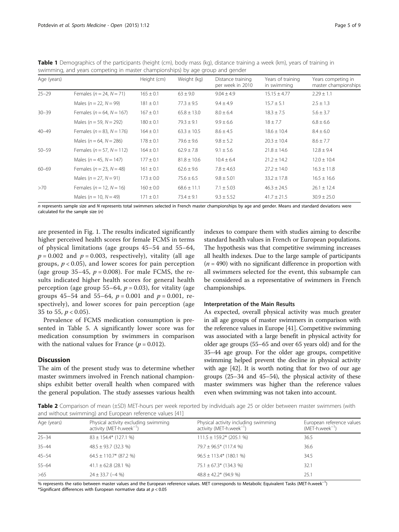<span id="page-4-0"></span>Table 1 Demographics of the participants (height (cm), body mass (kg), distance training a week (km), years of training in swimming, and years competing in master championships) by age group and gender

| Age (years) |                                  | Height (cm)   | Weight (kg)     | Distance training<br>per week in 2010 | Years of training<br>in swimming | Years competing in<br>master championships |
|-------------|----------------------------------|---------------|-----------------|---------------------------------------|----------------------------------|--------------------------------------------|
| $25 - 29$   | Females ( $n = 24$ , $N = 71$ )  | $165 \pm 0.1$ | $63 \pm 9.0$    | $9.04 \pm 4.9$                        | $15.15 \pm 4.77$                 | $2.29 \pm 1.1$                             |
|             | Males ( $n = 22$ , $N = 99$ )    | $181 \pm 0.1$ | $77.3 \pm 9.5$  | $9.4 \pm 4.9$                         | $15.7 \pm 5.1$                   | $2.5 \pm 1.3$                              |
| $30 - 39$   | Females ( $n = 64$ , $N = 167$ ) | $167 \pm 0.1$ | $65.8 \pm 13.0$ | $8.0 \pm 6.4$                         | $18.3 \pm 7.5$                   | $5.6 \pm 3.7$                              |
|             | Males ( $n = 59$ , $N = 292$ )   | $180 \pm 0.1$ | $79.3 \pm 9.1$  | $9.9 \pm 6.6$                         | $18 \pm 7.7$                     | $6.8 \pm 6.6$                              |
| $40 - 49$   | Females ( $n = 83$ , $N = 176$ ) | $164 \pm 0.1$ | $63.3 \pm 10.5$ | $8.6 \pm 4.5$                         | $18.6 \pm 10.4$                  | $8.4 \pm 6.0$                              |
|             | Males ( $n = 64$ , $N = 286$ )   | $178 \pm 0.1$ | $79.6 \pm 9.6$  | $9.8 \pm 5.2$                         | $20.3 \pm 10.4$                  | $8.6 \pm 7.7$                              |
| $50 - 59$   | Females ( $n = 57$ , $N = 112$ ) | $164 \pm 0.1$ | $62.9 \pm 7.8$  | $9.1 \pm 5.6$                         | $21.8 \pm 14.6$                  | $12.8 \pm 9.4$                             |
|             | Males ( $n = 45$ , $N = 147$ )   | $177 \pm 0.1$ | $81.8 \pm 10.6$ | $10.4 \pm 6.4$                        | $21.2 \pm 14.2$                  | $12.0 \pm 10.4$                            |
| $60 - 69$   | Females ( $n = 23$ , $N = 48$ )  | $161 \pm 0.1$ | $62.6 \pm 9.6$  | $7.8 \pm 4.63$                        | $27.2 \pm 14.0$                  | $16.3 \pm 11.8$                            |
|             | Males ( $n = 27$ , $N = 91$ )    | $173 \pm 0.0$ | $75.6 \pm 6.5$  | $9.8 \pm 5.01$                        | $33.2 \pm 17.8$                  | $16.5 \pm 16.6$                            |
| >70         | Females ( $n = 12$ , $N = 16$ )  | $160 \pm 0.0$ | $68.6 \pm 11.1$ | $7.1 \pm 5.03$                        | $46.3 \pm 24.5$                  | $26.1 \pm 12.4$                            |
|             | Males ( $n = 10$ , $N = 49$ )    | $171 \pm 0.1$ | $73.4 \pm 9.1$  | $9.3 \pm 5.52$                        | $41.7 \pm 21.5$                  | $30.9 \pm 25.0$                            |

n represents sample size and N represents total swimmers selected in French master championships by age and gender. Means and standard deviations were calculated for the sample size (n)

are presented in Fig. [1.](#page-6-0) The results indicated significantly higher perceived health scores for female FCMS in terms of physical limitations (age groups 45–54 and 55–64,  $p = 0.002$  and  $p = 0.003$ , respectively), vitality (all age groups,  $p < 0.05$ ), and lower scores for pain perception (age group 35–45,  $p = 0.008$ ). For male FCMS, the results indicated higher health scores for general health perception (age group 55–64,  $p = 0.03$ ), for vitality (age groups 45–54 and 55–64,  $p = 0.001$  and  $p = 0.001$ , respectively), and lower scores for pain perception (age 35 to 55,  $p < 0.05$ ).

Prevalence of FCMS medication consumption is presented in Table [5.](#page-7-0) A significantly lower score was for medication consumption by swimmers in comparison with the national values for France ( $p = 0.012$ ).

#### **Discussion**

The aim of the present study was to determine whether master swimmers involved in French national championships exhibit better overall health when compared with the general population. The study assesses various health indexes to compare them with studies aiming to describe standard health values in French or European populations. The hypothesis was that competitive swimming increases all health indexes. Due to the large sample of participants  $(n = 490)$  with no significant difference in proportion with all swimmers selected for the event, this subsample can be considered as a representative of swimmers in French championships.

#### Interpretation of the Main Results

As expected, overall physical activity was much greater in all age groups of master swimmers in comparison with the reference values in Europe [[41\]](#page-8-0). Competitive swimming was associated with a large benefit in physical activity for older age groups (55–65 and over 65 years old) and for the 35–44 age group. For the older age groups, competitive swimming helped prevent the decline in physical activity with age [\[42\]](#page-8-0). It is worth noting that for two of our age groups (25–34 and 45–54), the physical activity of these master swimmers was higher than the reference values even when swimming was not taken into account.

Table 2 Comparison of mean (±SD) MET-hours per week reported by individuals age 25 or older between master swimmers (with and without swimming) and European reference values [\[41\]](#page-8-0)

| Age (years) | Physical activity excluding swimming<br>activity (MET-h.week <sup>-1</sup> ) | Physical activity including swimming<br>activity (MET-h.week $^{-1}$ ) | European reference values<br>$(MET-h.week^{-1})$ |
|-------------|------------------------------------------------------------------------------|------------------------------------------------------------------------|--------------------------------------------------|
| $25 - 34$   | $83 \pm 154.4*$ (127.1 %)                                                    | $111.5 \pm 159.2$ * (205.1 %)                                          | 36.5                                             |
| $35 - 44$   | $48.5 \pm 93.7$ (32.3 %)                                                     | $79.7 \pm 96.5$ * (117.4 %)                                            | 36.6                                             |
| $45 - 54$   | $64.5 \pm 110.7$ * (87.2 %)                                                  | $96.5 \pm 113.4*$ (180.1 %)                                            | 34.5                                             |
| $55 - 64$   | $41.1 \pm 62.8$ (28.1 %)                                                     | $75.1 \pm 67.3$ * (134.3 %)                                            | 32.1                                             |
| >65         | $24 \pm 33.7$ (-4 %)                                                         | $48.8 \pm 42.2$ * (94.9 %)                                             | 25.1                                             |

% represents the ratio between master values and the European reference values. MET corresponds to Metabolic Equivalent Tasks (MET-h.week<sup>-1</sup>) \*Significant differences with European normative data at  $p < 0.05$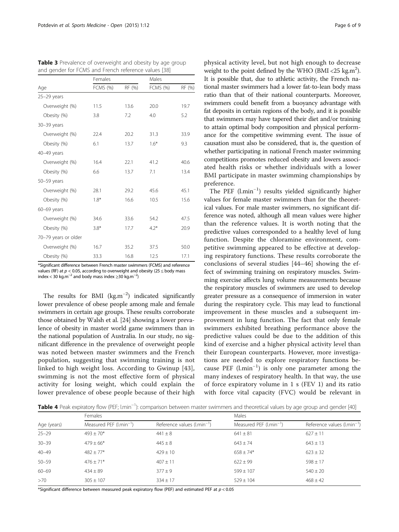|                      | Females         |        | Males           |        |  |
|----------------------|-----------------|--------|-----------------|--------|--|
| Age                  | <b>FCMS (%)</b> | RF (%) | <b>FCMS (%)</b> | RF (%) |  |
| $25-29$ years        |                 |        |                 |        |  |
| Overweight (%)       | 11.5            | 13.6   | 20.0            | 19.7   |  |
| Obesity (%)          | 3.8             | 7.2    | 4.0             | 5.2    |  |
| 30-39 years          |                 |        |                 |        |  |
| Overweight (%)       | 22.4            | 20.2   | 31.3            | 33.9   |  |
| Obesity (%)          | 6.1             | 13.7   | $1.6*$          | 9.3    |  |
| 40-49 years          |                 |        |                 |        |  |
| Overweight (%)       | 16.4            | 22.1   | 41.2            | 40.6   |  |
| Obesity (%)          | 6.6             | 13.7   | 7.1             | 13.4   |  |
| 50-59 years          |                 |        |                 |        |  |
| Overweight (%)       | 28.1            | 29.2   | 45.6            | 45.1   |  |
| Obesity (%)          | $1.8*$          | 16.6   | 10.5            | 15.6   |  |
| 60-69 years          |                 |        |                 |        |  |
| Overweight (%)       | 34.6            | 33.6   | 54.2            | 47.5   |  |
| Obesity (%)          | $3.8*$          | 17.7   | $4.2*$          | 20.9   |  |
| 70-79 years or older |                 |        |                 |        |  |
| Overweight (%)       | 16.7            | 35.2   | 37.5            | 50.0   |  |
| Obesity (%)          | 33.3            | 16.8   | 12.5            | 17.1   |  |

<span id="page-5-0"></span>Table 3 Prevalence of overweight and obesity by age group and gender for FCMS and French reference values [[38\]](#page-8-0)

\*Significant difference between French master swimmers (FCMS) and reference values (RF) at  $p < 0.05$ , according to overweight and obesity (25  $\leq$  body mass index < 30 kg.m<sup>-2</sup> and body mass index ≥30 kg.m<sup>-2</sup>)

The results for BMI  $(kg.m^{-2})$  indicated significantly lower prevalence of obese people among male and female swimmers in certain age groups. These results corroborate those obtained by Walsh et al. [\[24](#page-8-0)] showing a lower prevalence of obesity in master world game swimmers than in the national population of Australia. In our study, no significant difference in the prevalence of overweight people was noted between master swimmers and the French population, suggesting that swimming training is not linked to high weight loss. According to Gwinup [[43](#page-8-0)], swimming is not the most effective form of physical activity for losing weight, which could explain the lower prevalence of obese people because of their high

physical activity level, but not high enough to decrease weight to the point defined by the WHO (BMI <25 kg.m<sup>2</sup>). It is possible that, due to athletic activity, the French national master swimmers had a lower fat-to-lean body mass ratio than that of their national counterparts. Moreover, swimmers could benefit from a buoyancy advantage with fat deposits in certain regions of the body, and it is possible that swimmers may have tapered their diet and/or training to attain optimal body composition and physical performance for the competitive swimming event. The issue of causation must also be considered, that is, the question of whether participating in national French master swimming competitions promotes reduced obesity and lowers associated health risks or whether individuals with a lower BMI participate in master swimming championships by preference.

The PEF (l.min<sup>-1</sup>) results yielded significantly higher values for female master swimmers than for the theoretical values. For male master swimmers, no significant difference was noted, although all mean values were higher than the reference values. It is worth noting that the predictive values corresponded to a healthy level of lung function. Despite the chloramine environment, competitive swimming appeared to be effective at developing respiratory functions. These results corroborate the conclusions of several studies [[44](#page-8-0)–[46\]](#page-8-0) showing the effect of swimming training on respiratory muscles. Swimming exercise affects lung volume measurements because the respiratory muscles of swimmers are used to develop greater pressure as a consequence of immersion in water during the respiratory cycle. This may lead to functional improvement in these muscles and a subsequent improvement in lung function. The fact that only female swimmers exhibited breathing performance above the predictive values could be due to the addition of this kind of exercise and a higher physical activity level than their European counterparts. However, more investigations are needed to explore respiratory functions because PEF (l.min−<sup>1</sup> ) is only one parameter among the many indexes of respiratory health. In that way, the use of force expiratory volume in 1 s (FEV 1) and its ratio with force vital capacity (FVC) would be relevant in

Table 4 Peak expiratory flow (PEF; l.min<sup>-1</sup>): comparison between master swimmers and theoretical values by age group and gender [[40](#page-8-0)]

|             | Females                     |                                 | Males                       |                                 |  |
|-------------|-----------------------------|---------------------------------|-----------------------------|---------------------------------|--|
| Age (years) | Measured PEF $(l.min^{-1})$ | Reference values $(l.min^{-1})$ | Measured PEF $(l.min^{-1})$ | Reference values $(l.min^{-1})$ |  |
| $25 - 29$   | $493 \pm 70*$               | $441 \pm 8$                     | $641 \pm 81$                | $627 \pm 11$                    |  |
| $30 - 39$   | $479 \pm 66*$               | $445 \pm 8$                     | $643 \pm 74$                | $643 \pm 13$                    |  |
| $40 - 49$   | $482 + 77*$                 | $429 + 10$                      | $658 \pm 74*$               | $623 \pm 32$                    |  |
| $50 - 59$   | $476 + 71*$                 | $407 + 11$                      | $622 \pm 99$                | $598 \pm 17$                    |  |
| $60 - 69$   | $434 \pm 89$                | $377 + 9$                       | $599 \pm 107$               | $540 \pm 20$                    |  |
| >70         | $305 \pm 107$               | $334 \pm 17$                    | $529 \pm 104$               | $468 \pm 42$                    |  |

\*Significant difference between measured peak expiratory flow (PEF) and estimated PEF at  $p < 0.05$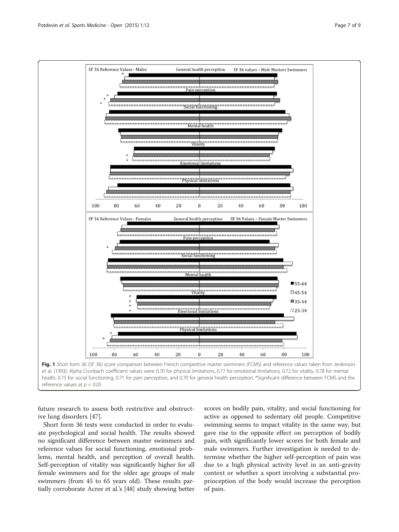<span id="page-6-0"></span>



future research to assess both restrictive and obstructive lung disorders [[47](#page-8-0)].

Short form 36 tests were conducted in order to evaluate psychological and social health. The results showed no significant difference between master swimmers and reference values for social functioning, emotional problems, mental health, and perception of overall health. Self-perception of vitality was significantly higher for all female swimmers and for the older age groups of male swimmers (from 45 to 65 years old). These results partially corroborate Acree et al.'s [[48](#page-8-0)] study showing better

scores on bodily pain, vitality, and social functioning for active as opposed to sedentary old people. Competitive swimming seems to impact vitality in the same way, but gave rise to the opposite effect on perception of bodily pain, with significantly lower scores for both female and male swimmers. Further investigation is needed to determine whether the higher self-perception of pain was due to a high physical activity level in an anti-gravity context or whether a sport involving a substantial proprioception of the body would increase the perception of pain.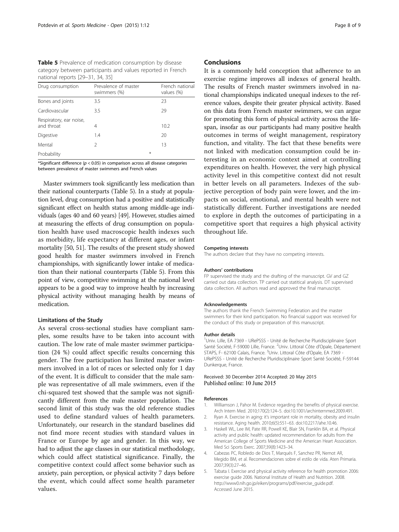<span id="page-7-0"></span>Table 5 Prevalence of medication consumption by disease category between participants and values reported in French national reports [\[29](#page-8-0)–[31](#page-8-0), [34](#page-8-0), [35\]](#page-8-0)

| Drug consumption                      | Prevalence of master<br>swimmers (%) | French national<br>values (%) |
|---------------------------------------|--------------------------------------|-------------------------------|
| Bones and joints                      | 3.5                                  | 23                            |
| Cardiovascular                        | 3.5                                  | 29                            |
| Respiratory, ear noise,<br>and throat | 4                                    | 10.2                          |
| Digestive                             | 1.4                                  | 20                            |
| Mental                                | V                                    | 13                            |
| Probability                           |                                      | ⋇                             |

\*Significant difference ( $p < 0.05$ ) in comparison across all disease categories between prevalence of master swimmers and French values

Master swimmers took significantly less medication than their national counterparts (Table 5). In a study at population level, drug consumption had a positive and statistically significant effect on health status among middle-age individuals (ages 40 and 60 years) [[49](#page-8-0)]. However, studies aimed at measuring the effects of drug consumption on population health have used macroscopic health indexes such as morbidity, life expectancy at different ages, or infant mortality [[50, 51\]](#page-8-0). The results of the present study showed good health for master swimmers involved in French championships, with significantly lower intake of medication than their national counterparts (Table 5). From this point of view, competitive swimming at the national level appears to be a good way to improve health by increasing physical activity without managing health by means of medication.

#### Limitations of the Study

As several cross-sectional studies have compliant samples, some results have to be taken into account with caution. The low rate of male master swimmer participation (24 %) could affect specific results concerning this gender. The free participation has limited master swimmers involved in a lot of races or selected only for 1 day of the event. It is difficult to consider that the male sample was representative of all male swimmers, even if the chi-squared test showed that the sample was not significantly different from the male master population. The second limit of this study was the old reference studies used to define standard values of health parameters. Unfortunately, our research in the standard baselines did not find more recent studies with standard values in France or Europe by age and gender. In this way, we had to adjust the age classes in our statistical methodology, which could affect statistical significance. Finally, the competitive context could affect some behavior such as anxiety, pain perception, or physical activity 7 days before the event, which could affect some health parameter values.

#### Conclusions

It is a commonly held conception that adherence to an exercise regime improves all indexes of general health. The results of French master swimmers involved in national championships indicated unequal indexes to the reference values, despite their greater physical activity. Based on this data from French master swimmers, we can argue for promoting this form of physical activity across the lifespan, insofar as our participants had many positive health outcomes in terms of weight management, respiratory function, and vitality. The fact that these benefits were not linked with medication consumption could be interesting in an economic context aimed at controlling expenditures on health. However, the very high physical activity level in this competitive context did not result in better levels on all parameters. Indexes of the subjective perception of body pain were lower, and the impacts on social, emotional, and mental health were not statistically different. Further investigations are needed to explore in depth the outcomes of participating in a competitive sport that requires a high physical activity throughout life.

#### Competing interests

The authors declare that they have no competing interests.

#### Authors' contributions

FP supervised the study and the drafting of the manuscript. GV and GZ carried out data collection. TP carried out statitical analysis. DT supervised data collection. All authors read and approved the final manuscript.

#### Acknowledgements

The authors thank the French Swimming Federation and the master swimmers for their kind participation. No financial support was received for the conduct of this study or preparation of this manuscript.

#### Author details

<sup>1</sup>Univ. Lille, EA 7369 - URePSSS - Unité de Recherche Pluridisciplinaire Sport Santé Société, F-59000 Lille, France. <sup>2</sup>Univ. Littoral Côte d'Opale, Département STAPS, F- 62100 Calais, France. <sup>3</sup>Univ. Littoral Côte d'Opale, EA 7369 -URePSSS - Unité de Recherche Pluridisciplinaire Sport Santé Société, F-59144 Dunkerque, France.

#### Received: 30 December 2014 Accepted: 20 May 2015 Published online: 10 June 2015

#### References

- 1. Williamson J, Pahor M. Evidence regarding the benefits of physical exercise. Arch Intern Med. 2010;170(2):124–5. doi[:10.1001/archinternmed.2009.491](http://dx.doi.org/10.1001/archinternmed.2009.491).
- 2. Ryan A. Exercise in aging: it's important role in mortality, obesity and insulin resistance. Aging health. 2010;6(5):551–63. doi[:10.2217/ahe.10.46.](http://dx.doi.org/10.2217/ahe.10.46)
- 3. Haskell WL, Lee IM, Pate RR, Powell KE, Blair SN, Franklin BA, et al. Physical activity and public health: updated recommendation for adults from the American College of Sports Medicine and the American Heart Association. Med Sci Sports Exerc. 2007;39(8):1423–34.
- 4. Cabezas PC, Robledo de Dios T, Marqués F, Sanchez PR, Nemot AR, Megido BM, et al. Recomendaciones sobre el estilo de vida. Aten Primaria. 2007;39(3):27–46.
- 5. Tabata I. Exercise and physical activity reference for health promotion 2006: exercise guide 2006. National Institute of Health and Nutrition. 2008. [http://www0.nih.go.jp/eiken/programs/pdf/exercise\\_guide.pdf.](http://www0.nih.go.jp/eiken/programs/pdf/exercise_guide.pdf) Accessed June 2015.